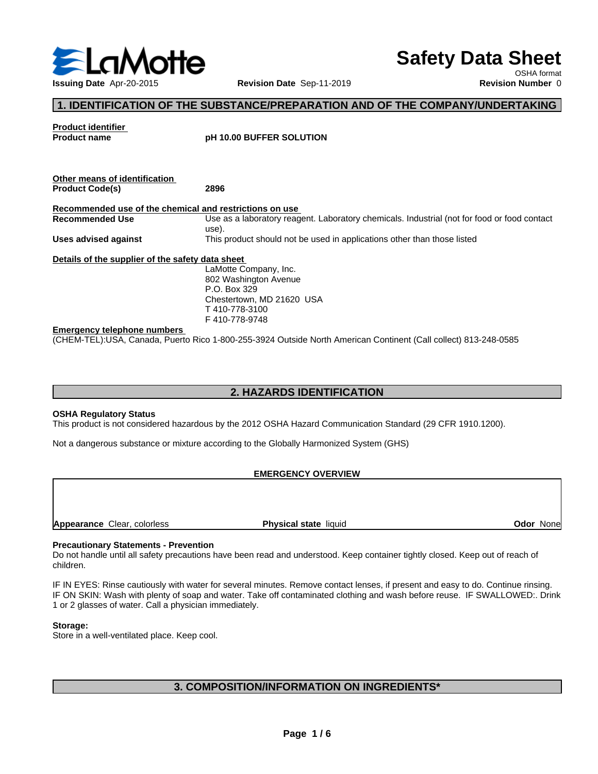

**Safety Data Sheet**

OSHA format

# **1. IDENTIFICATION OF THE SUBSTANCE/PREPARATION AND OF THE COMPANY/UNDERTAKING**

**Product identifier**

**Product name pH 10.00 BUFFER SOLUTION**

| Other means of identification                           |                                                                                                                                                                                   |
|---------------------------------------------------------|-----------------------------------------------------------------------------------------------------------------------------------------------------------------------------------|
| <b>Product Code(s)</b>                                  | 2896                                                                                                                                                                              |
| Recommended use of the chemical and restrictions on use |                                                                                                                                                                                   |
| Recommended Use                                         | Use as a laboratory reagent. Laboratory chemicals. Industrial (not for food or food contact<br>use).                                                                              |
| Uses advised against                                    | This product should not be used in applications other than those listed                                                                                                           |
| Details of the supplier of the safety data sheet        |                                                                                                                                                                                   |
|                                                         | LaMotte Company, Inc.                                                                                                                                                             |
|                                                         | 802 Washington Avenue                                                                                                                                                             |
|                                                         | P.O. Box 329                                                                                                                                                                      |
|                                                         | Chestertown, MD 21620 USA                                                                                                                                                         |
|                                                         | T410-778-3100                                                                                                                                                                     |
|                                                         | F410-778-9748                                                                                                                                                                     |
| <b>Emergency telephone numbers</b>                      |                                                                                                                                                                                   |
| $\sim$ $\sim$ $\sim$ $\sim$ $\sim$ $\sim$ $\sim$        | $\overline{1}$ and also a set $\overline{1}$ and $\overline{1}$ and $\overline{1}$ and $\overline{1}$ and $\overline{1}$ and $\overline{1}$ and $\overline{1}$ and $\overline{1}$ |

(CHEM-TEL):USA, Canada, Puerto Rico 1-800-255-3924 Outside North American Continent (Call collect) 813-248-0585

## **2. HAZARDS IDENTIFICATION**

### **OSHA Regulatory Status**

This product is not considered hazardous by the 2012 OSHA Hazard Communication Standard (29 CFR 1910.1200).

Not a dangerous substance or mixture according to the Globally Harmonized System (GHS)

### **EMERGENCY OVERVIEW**

**Appearance** Clear, colorless **Physical state** liquid

**Odor** None

### **Precautionary Statements - Prevention**

Do not handle until all safety precautions have been read and understood. Keep container tightly closed. Keep out of reach of children.

IF IN EYES: Rinse cautiously with water for several minutes. Remove contact lenses, if present and easy to do. Continue rinsing. IF ON SKIN: Wash with plenty of soap and water. Take off contaminated clothing and wash before reuse. IF SWALLOWED:. Drink 1 or 2 glasses of water. Call a physician immediately.

### **Storage:**

Store in a well-ventilated place. Keep cool.

# **3. COMPOSITION/INFORMATION ON INGREDIENTS\***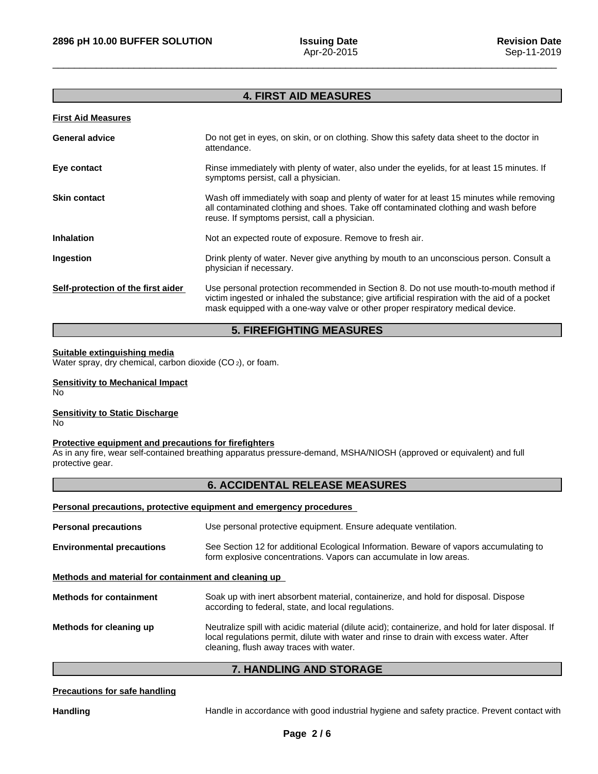## **4. FIRST AID MEASURES**

### **First Aid Measures**

| <b>General advice</b>              | Do not get in eyes, on skin, or on clothing. Show this safety data sheet to the doctor in<br>attendance.                                                                                                                                                                  |
|------------------------------------|---------------------------------------------------------------------------------------------------------------------------------------------------------------------------------------------------------------------------------------------------------------------------|
| Eye contact                        | Rinse immediately with plenty of water, also under the eyelids, for at least 15 minutes. If<br>symptoms persist, call a physician.                                                                                                                                        |
| <b>Skin contact</b>                | Wash off immediately with soap and plenty of water for at least 15 minutes while removing<br>all contaminated clothing and shoes. Take off contaminated clothing and wash before<br>reuse. If symptoms persist, call a physician.                                         |
| <b>Inhalation</b>                  | Not an expected route of exposure. Remove to fresh air.                                                                                                                                                                                                                   |
| Ingestion                          | Drink plenty of water. Never give anything by mouth to an unconscious person. Consult a<br>physician if necessary.                                                                                                                                                        |
| Self-protection of the first aider | Use personal protection recommended in Section 8. Do not use mouth-to-mouth method if<br>victim ingested or inhaled the substance; give artificial respiration with the aid of a pocket<br>mask equipped with a one-way valve or other proper respiratory medical device. |

# **5. FIREFIGHTING MEASURES**

### **Suitable extinguishing media**

Water spray, dry chemical, carbon dioxide (CO<sub>2</sub>), or foam.

### **Sensitivity to Mechanical Impact**

No

### **Sensitivity to Static Discharge** No

## **Protective equipment and precautions for firefighters**

As in any fire, wear self-contained breathing apparatus pressure-demand, MSHA/NIOSH (approved or equivalent) and full protective gear.

## **6. ACCIDENTAL RELEASE MEASURES**

## **Personal precautions, protective equipment and emergency procedures**

| <b>Personal precautions</b>                          | Use personal protective equipment. Ensure adequate ventilation.                                                                                                                                                                          |  |
|------------------------------------------------------|------------------------------------------------------------------------------------------------------------------------------------------------------------------------------------------------------------------------------------------|--|
| <b>Environmental precautions</b>                     | See Section 12 for additional Ecological Information. Beware of vapors accumulating to<br>form explosive concentrations. Vapors can accumulate in low areas.                                                                             |  |
| Methods and material for containment and cleaning up |                                                                                                                                                                                                                                          |  |
| <b>Methods for containment</b>                       | Soak up with inert absorbent material, containerize, and hold for disposal. Dispose<br>according to federal, state, and local regulations.                                                                                               |  |
| Methods for cleaning up                              | Neutralize spill with acidic material (dilute acid); containerize, and hold for later disposal. If<br>local regulations permit, dilute with water and rinse to drain with excess water. After<br>cleaning, flush away traces with water. |  |

## **7. HANDLING AND STORAGE**

### **Precautions for safe handling**

Handling **Handle in accordance with good industrial hygiene and safety practice. Prevent contact with**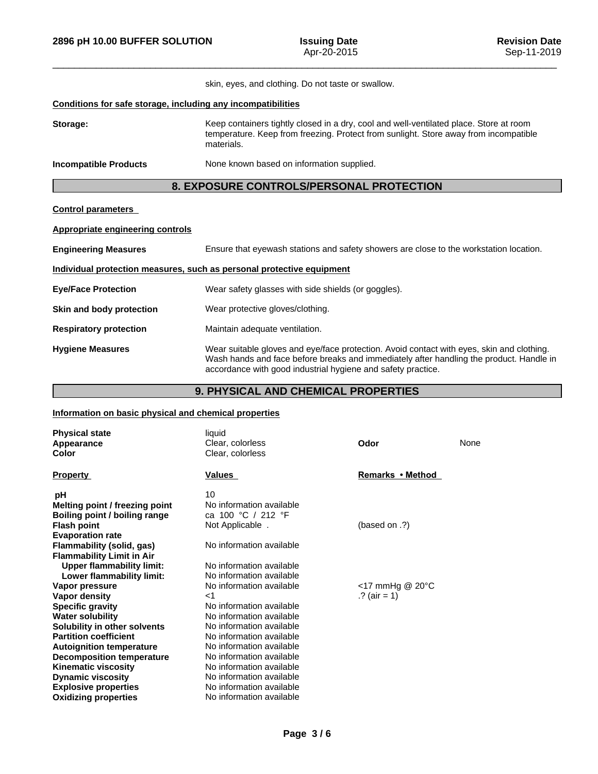|                                                              | skin, eyes, and clothing. Do not taste or swallow.                                                                                                                                           |
|--------------------------------------------------------------|----------------------------------------------------------------------------------------------------------------------------------------------------------------------------------------------|
| Conditions for safe storage, including any incompatibilities |                                                                                                                                                                                              |
| Storage:                                                     | Keep containers tightly closed in a dry, cool and well-ventilated place. Store at room<br>temperature. Keep from freezing. Protect from sunlight. Store away from incompatible<br>materials. |
| Incompatible Products                                        | None known based on information supplied.                                                                                                                                                    |
|                                                              | 8. EXPOSURE CONTROLS/PERSONAL PROTECTION                                                                                                                                                     |
| <b>Control parameters</b>                                    |                                                                                                                                                                                              |
| Appropriate engineering controls                             |                                                                                                                                                                                              |
| <b>Engineering Measures</b>                                  | Ensure that eyewash stations and safety showers are close to the workstation location.                                                                                                       |

| Individual protection measures, such as personal protective equipment |                                                                                                                                                                                                                                                      |  |
|-----------------------------------------------------------------------|------------------------------------------------------------------------------------------------------------------------------------------------------------------------------------------------------------------------------------------------------|--|
| <b>Eye/Face Protection</b>                                            | Wear safety glasses with side shields (or goggles).                                                                                                                                                                                                  |  |
| Skin and body protection                                              | Wear protective gloves/clothing.                                                                                                                                                                                                                     |  |
| <b>Respiratory protection</b>                                         | Maintain adequate ventilation.                                                                                                                                                                                                                       |  |
| <b>Hygiene Measures</b>                                               | Wear suitable gloves and eye/face protection. Avoid contact with eyes, skin and clothing.<br>Wash hands and face before breaks and immediately after handling the product. Handle in<br>accordance with good industrial hygiene and safety practice. |  |

# **9. PHYSICAL AND CHEMICAL PROPERTIES**

## **Information on basic physical and chemical properties**

| <b>Physical state</b><br><b>Appearance</b><br>Color | liquid<br>Clear, colorless<br>Clear, colorless | Odor                 | None |
|-----------------------------------------------------|------------------------------------------------|----------------------|------|
| <b>Property</b>                                     | Values                                         | Remarks • Method     |      |
| рH                                                  | 10                                             |                      |      |
| Melting point / freezing point                      | No information available                       |                      |      |
| Boiling point / boiling range                       | ca 100 °C / 212 °F                             |                      |      |
| <b>Flash point</b>                                  | Not Applicable.                                | (based on $\Omega$ ) |      |
| <b>Evaporation rate</b>                             |                                                |                      |      |
| Flammability (solid, gas)                           | No information available                       |                      |      |
| <b>Flammability Limit in Air</b>                    |                                                |                      |      |
| <b>Upper flammability limit:</b>                    | No information available                       |                      |      |
| Lower flammability limit:                           | No information available                       |                      |      |
| Vapor pressure                                      | No information available                       | <17 mmHg @ 20°C      |      |
| Vapor density                                       | $<$ 1                                          | .? (air = 1)         |      |
| <b>Specific gravity</b>                             | No information available                       |                      |      |
| <b>Water solubility</b>                             | No information available                       |                      |      |
| Solubility in other solvents                        | No information available                       |                      |      |
| <b>Partition coefficient</b>                        | No information available                       |                      |      |
| <b>Autoignition temperature</b>                     | No information available                       |                      |      |
| <b>Decomposition temperature</b>                    | No information available                       |                      |      |
| <b>Kinematic viscosity</b>                          | No information available                       |                      |      |
| <b>Dynamic viscosity</b>                            | No information available                       |                      |      |
| <b>Explosive properties</b>                         | No information available                       |                      |      |
| <b>Oxidizing properties</b>                         | No information available                       |                      |      |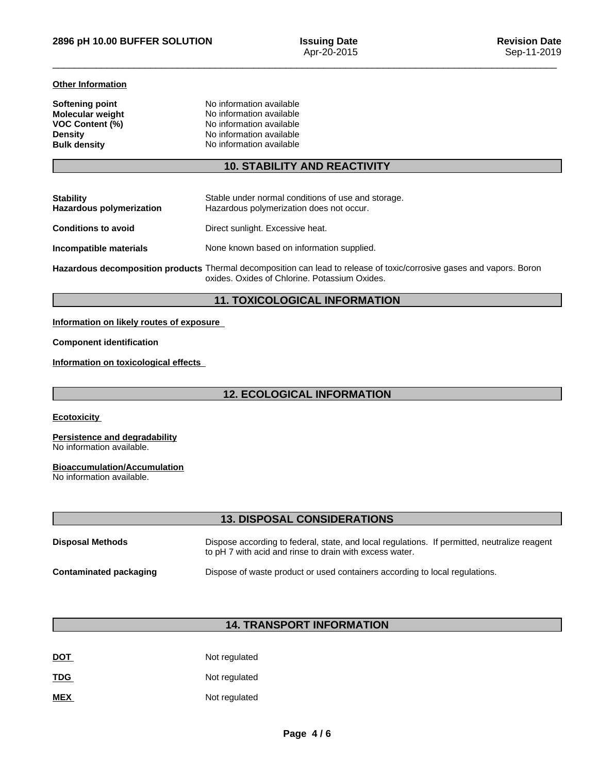### **Other Information**

| Softening point         | No information available |  |
|-------------------------|--------------------------|--|
| <b>Molecular weight</b> | No information available |  |
| <b>VOC Content (%)</b>  | No information available |  |
| <b>Density</b>          | No information available |  |
| <b>Bulk density</b>     | No information available |  |

# **10. STABILITY AND REACTIVITY**

| <b>Stability</b><br><b>Hazardous polymerization</b> | Stable under normal conditions of use and storage.<br>Hazardous polymerization does not occur.                                                                         |
|-----------------------------------------------------|------------------------------------------------------------------------------------------------------------------------------------------------------------------------|
| <b>Conditions to avoid</b>                          | Direct sunlight. Excessive heat.                                                                                                                                       |
| Incompatible materials                              | None known based on information supplied.                                                                                                                              |
|                                                     | Hazardous decomposition products Thermal decomposition can lead to release of toxic/corrosive gases and vapors. Boron<br>oxides. Oxides of Chlorine. Potassium Oxides. |

## **11. TOXICOLOGICAL INFORMATION**

## **Information on likely routes of exposure**

### **Component identification**

**Information on toxicological effects**

# **12. ECOLOGICAL INFORMATION**

**Ecotoxicity** 

#### **Persistence and degradability** No information available.

**Bioaccumulation/Accumulation**

No information available.

# **13. DISPOSAL CONSIDERATIONS**

| <b>Disposal Methods</b> | Dispose according to federal, state, and local regulations. If permitted, neutralize reagent<br>to pH 7 with acid and rinse to drain with excess water. |
|-------------------------|---------------------------------------------------------------------------------------------------------------------------------------------------------|
| Contaminated packaging  | Dispose of waste product or used containers according to local regulations.                                                                             |

# **14. TRANSPORT INFORMATION**

| <b>DOT</b> | Not regulated |
|------------|---------------|
| <u>TDG</u> | Not regulated |
| <b>MEX</b> | Not regulated |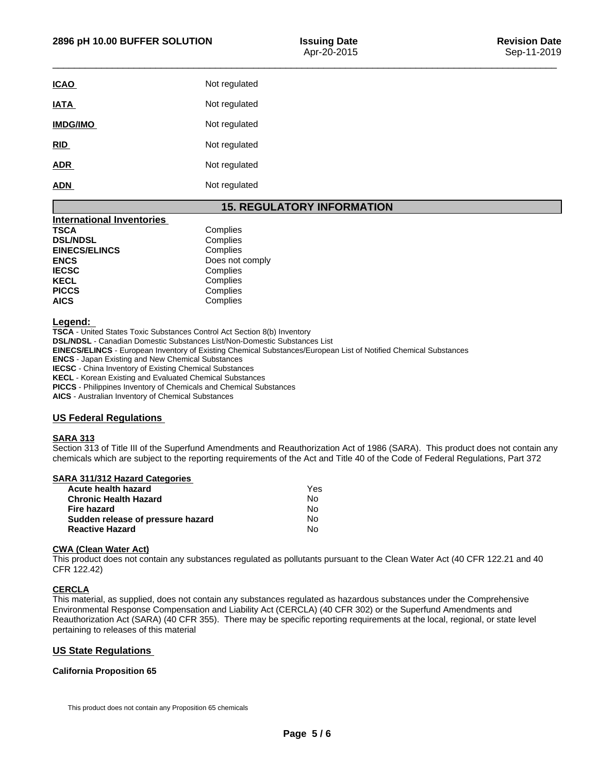| Not regulated |
|---------------|
| Not regulated |
| Not regulated |
| Not regulated |
| Not regulated |
| Not regulated |
|               |

# **15. REGULATORY INFORMATION**

| <b>International Inventories</b> |                 |
|----------------------------------|-----------------|
| TSCA                             | Complies        |
| <b>DSL/NDSL</b>                  | Complies        |
| <b>EINECS/ELINCS</b>             | Complies        |
| <b>ENCS</b>                      | Does not comply |
| <b>IECSC</b>                     | Complies        |
| <b>KECL</b>                      | Complies        |
| <b>PICCS</b>                     | Complies        |
| <b>AICS</b>                      | Complies        |

### **Legend:**

**TSCA** - United States Toxic Substances Control Act Section 8(b) Inventory **DSL/NDSL** - Canadian Domestic Substances List/Non-Domestic Substances List

**EINECS/ELINCS** - European Inventory of Existing Chemical Substances/European List of Notified Chemical Substances

**ENCS** - Japan Existing and New Chemical Substances

**IECSC** - China Inventory of Existing Chemical Substances

**KECL** - Korean Existing and Evaluated Chemical Substances

**PICCS** - Philippines Inventory of Chemicals and Chemical Substances

**AICS** - Australian Inventory of Chemical Substances

## **US Federal Regulations**

### **SARA 313**

Section 313 of Title III of the Superfund Amendments and Reauthorization Act of 1986 (SARA). This product does not contain any chemicals which are subject to the reporting requirements of the Act and Title 40 of the Code of Federal Regulations, Part 372

| <b>SARA 311/312 Hazard Categories</b> |  |
|---------------------------------------|--|
|---------------------------------------|--|

| Acute health hazard               | Yes |  |
|-----------------------------------|-----|--|
| Chronic Health Hazard             | No. |  |
| Fire hazard                       | N٥  |  |
| Sudden release of pressure hazard | No. |  |
| <b>Reactive Hazard</b>            | No. |  |

### **CWA (Clean WaterAct)**

This product does not contain any substances regulated as pollutants pursuant to the Clean Water Act (40 CFR 122.21 and 40 CFR 122.42)

### **CERCLA**

This material, as supplied, does not contain any substances regulated as hazardous substances under the Comprehensive Environmental Response Compensation and Liability Act (CERCLA) (40 CFR 302) or the Superfund Amendments and Reauthorization Act (SARA) (40 CFR 355). There may be specific reporting requirements at the local, regional, or state level pertaining to releases of this material

## **US State Regulations**

## **California Proposition 65**

This product does not contain any Proposition 65 chemicals